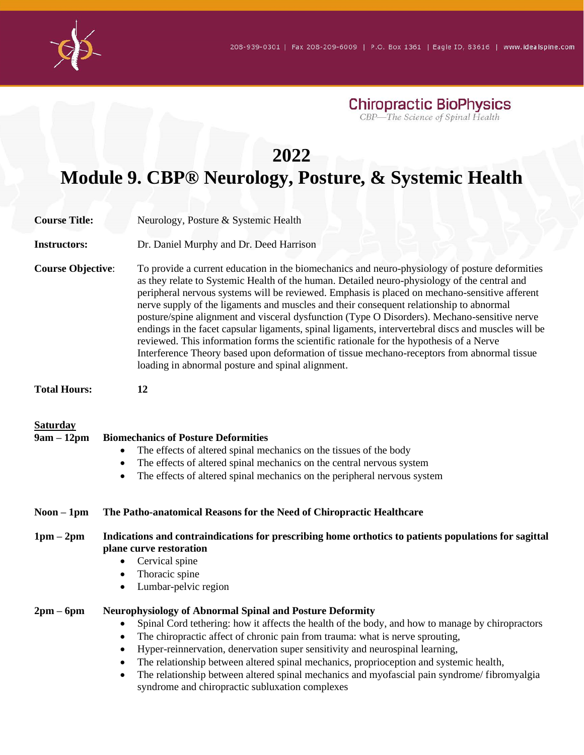

| Chiropractic BioPhysics          |  |
|----------------------------------|--|
| CBP—The Science of Spinal Health |  |

## **2022**

## **Module 9. CBP® Neurology, Posture, & Systemic Health**

| <b>Course Title:</b>            | Neurology, Posture & Systemic Health                                                                                                                                                                                                                                                                                                                                                                                                                                                                                                                                                                                                                                                                                                                                                                                                             |  |  |
|---------------------------------|--------------------------------------------------------------------------------------------------------------------------------------------------------------------------------------------------------------------------------------------------------------------------------------------------------------------------------------------------------------------------------------------------------------------------------------------------------------------------------------------------------------------------------------------------------------------------------------------------------------------------------------------------------------------------------------------------------------------------------------------------------------------------------------------------------------------------------------------------|--|--|
| <b>Instructors:</b>             | Dr. Daniel Murphy and Dr. Deed Harrison                                                                                                                                                                                                                                                                                                                                                                                                                                                                                                                                                                                                                                                                                                                                                                                                          |  |  |
| <b>Course Objective:</b>        | To provide a current education in the biomechanics and neuro-physiology of posture deformities<br>as they relate to Systemic Health of the human. Detailed neuro-physiology of the central and<br>peripheral nervous systems will be reviewed. Emphasis is placed on mechano-sensitive afferent<br>nerve supply of the ligaments and muscles and their consequent relationship to abnormal<br>posture/spine alignment and visceral dysfunction (Type O Disorders). Mechano-sensitive nerve<br>endings in the facet capsular ligaments, spinal ligaments, intervertebral discs and muscles will be<br>reviewed. This information forms the scientific rationale for the hypothesis of a Nerve<br>Interference Theory based upon deformation of tissue mechano-receptors from abnormal tissue<br>loading in abnormal posture and spinal alignment. |  |  |
| <b>Total Hours:</b>             | 12                                                                                                                                                                                                                                                                                                                                                                                                                                                                                                                                                                                                                                                                                                                                                                                                                                               |  |  |
| <b>Saturday</b><br>$9am - 12pm$ | <b>Biomechanics of Posture Deformities</b><br>The effects of altered spinal mechanics on the tissues of the body<br>The effects of altered spinal mechanics on the central nervous system<br>The effects of altered spinal mechanics on the peripheral nervous system                                                                                                                                                                                                                                                                                                                                                                                                                                                                                                                                                                            |  |  |
| $Noon - 1pm$                    | The Patho-anatomical Reasons for the Need of Chiropractic Healthcare                                                                                                                                                                                                                                                                                                                                                                                                                                                                                                                                                                                                                                                                                                                                                                             |  |  |
| $1pm-2pm$                       | Indications and contraindications for prescribing home orthotics to patients populations for sagittal<br>plane curve restoration<br>Cervical spine<br>Thoracic spine<br>Lumbar-pelvic region                                                                                                                                                                                                                                                                                                                                                                                                                                                                                                                                                                                                                                                     |  |  |
| $2pm-6pm$                       | <b>Neurophysiology of Abnormal Spinal and Posture Deformity</b><br>Spinal Cord tethering: how it affects the health of the body, and how to manage by chiropractors<br>The chiropractic affect of chronic pain from trauma: what is nerve sprouting,<br>$\bullet$<br>Hyper-reinnervation, denervation super sensitivity and neurospinal learning,<br>The relationship between altered spinal mechanics, proprioception and systemic health,<br>The relationship between altered spinal mechanics and myofascial pain syndrome/fibromyalgia<br>$\bullet$<br>syndrome and chiropractic subluxation complexes                                                                                                                                                                                                                                       |  |  |